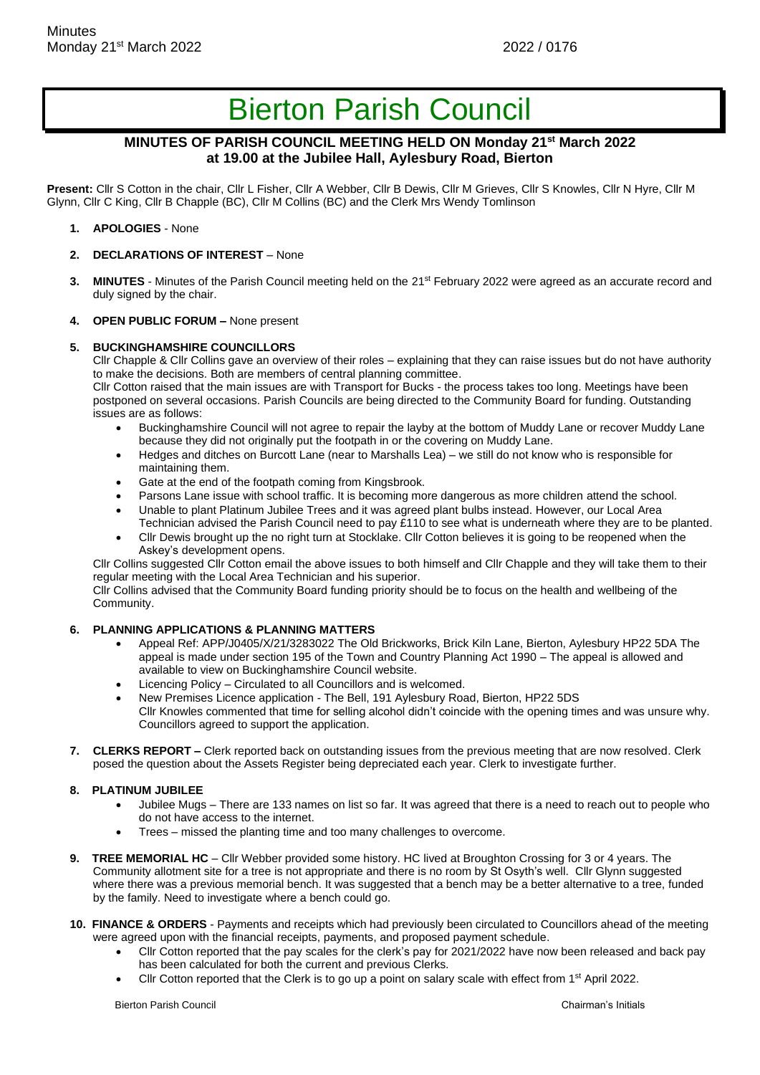# Bierton Parish Council

## **MINUTES OF PARISH COUNCIL MEETING HELD ON Monday 21st March 2022 at 19.00 at the Jubilee Hall, Aylesbury Road, Bierton**

**Present:** Cllr S Cotton in the chair, Cllr L Fisher, Cllr A Webber, Cllr B Dewis, Cllr M Grieves, Cllr S Knowles, Cllr N Hyre, Cllr M Glynn, Cllr C King, Cllr B Chapple (BC), Cllr M Collins (BC) and the Clerk Mrs Wendy Tomlinson

- **1. APOLOGIES**  None
- **2. DECLARATIONS OF INTEREST**  None
- **3. MINUTES** Minutes of the Parish Council meeting held on the 21<sup>st</sup> February 2022 were agreed as an accurate record and duly signed by the chair.
- **4. OPEN PUBLIC FORUM –** None present

#### **5. BUCKINGHAMSHIRE COUNCILLORS**

Cllr Chapple & Cllr Collins gave an overview of their roles – explaining that they can raise issues but do not have authority to make the decisions. Both are members of central planning committee.

Cllr Cotton raised that the main issues are with Transport for Bucks - the process takes too long. Meetings have been postponed on several occasions. Parish Councils are being directed to the Community Board for funding. Outstanding issues are as follows:

- Buckinghamshire Council will not agree to repair the layby at the bottom of Muddy Lane or recover Muddy Lane because they did not originally put the footpath in or the covering on Muddy Lane.
- Hedges and ditches on Burcott Lane (near to Marshalls Lea) we still do not know who is responsible for maintaining them.
- Gate at the end of the footpath coming from Kingsbrook.
- Parsons Lane issue with school traffic. It is becoming more dangerous as more children attend the school.
- Unable to plant Platinum Jubilee Trees and it was agreed plant bulbs instead. However, our Local Area Technician advised the Parish Council need to pay £110 to see what is underneath where they are to be planted.
- Cllr Dewis brought up the no right turn at Stocklake. Cllr Cotton believes it is going to be reopened when the Askey's development opens.

Cllr Collins suggested Cllr Cotton email the above issues to both himself and Cllr Chapple and they will take them to their regular meeting with the Local Area Technician and his superior.

Cllr Collins advised that the Community Board funding priority should be to focus on the health and wellbeing of the Community.

#### **6. PLANNING APPLICATIONS & PLANNING MATTERS**

- Appeal Ref: APP/J0405/X/21/3283022 The Old Brickworks, Brick Kiln Lane, Bierton, Aylesbury HP22 5DA The appeal is made under section 195 of the Town and Country Planning Act 1990 – The appeal is allowed and available to view on Buckinghamshire Council website.
- Licencing Policy Circulated to all Councillors and is welcomed.
- New Premises Licence application The Bell, 191 Aylesbury Road, Bierton, HP22 5DS Cllr Knowles commented that time for selling alcohol didn't coincide with the opening times and was unsure why. Councillors agreed to support the application.
- **7. CLERKS REPORT –** Clerk reported back on outstanding issues from the previous meeting that are now resolved. Clerk posed the question about the Assets Register being depreciated each year. Clerk to investigate further.

## **8. PLATINUM JUBILEE**

- Jubilee Mugs There are 133 names on list so far. It was agreed that there is a need to reach out to people who do not have access to the internet.
- Trees missed the planting time and too many challenges to overcome.
- **9. TREE MEMORIAL HC** Cllr Webber provided some history. HC lived at Broughton Crossing for 3 or 4 years. The Community allotment site for a tree is not appropriate and there is no room by St Osyth's well. Cllr Glynn suggested where there was a previous memorial bench. It was suggested that a bench may be a better alternative to a tree, funded by the family. Need to investigate where a bench could go.
- **10. FINANCE & ORDERS** Payments and receipts which had previously been circulated to Councillors ahead of the meeting were agreed upon with the financial receipts, payments, and proposed payment schedule.
	- Cllr Cotton reported that the pay scales for the clerk's pay for 2021/2022 have now been released and back pay has been calculated for both the current and previous Clerks.
	- Cllr Cotton reported that the Clerk is to go up a point on salary scale with effect from 1<sup>st</sup> April 2022.